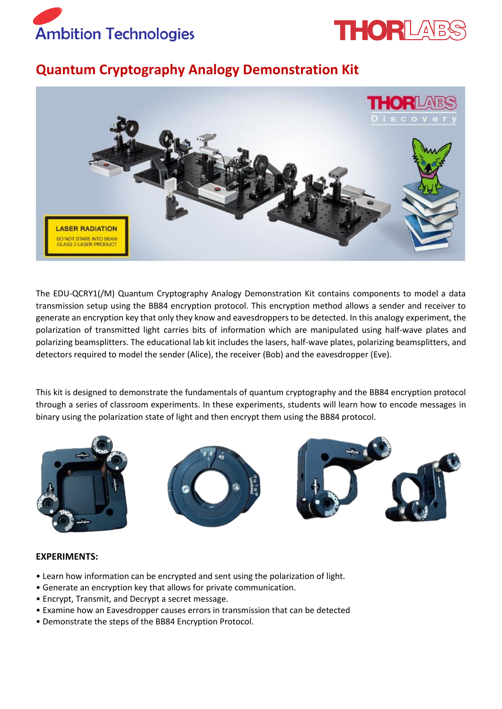



## **Quantum Cryptography Analogy Demonstration Kit**



The EDU-QCRY1(/M) Quantum Cryptography Analogy Demonstration Kit contains components to model a data transmission setup using the BB84 encryption protocol. This encryption method allows a sender and receiver to generate an encryption key that only they know and eavesdroppers to be detected. In this analogy experiment, the polarization of transmitted light carries bits of information which are manipulated using half-wave plates and polarizing beamsplitters. The educational lab kit includes the lasers, half-wave plates, polarizing beamsplitters, and detectors required to model the sender (Alice), the receiver (Bob) and the eavesdropper (Eve).

This kit is designed to demonstrate the fundamentals of quantum cryptography and the BB84 encryption protocol through a series of classroom experiments. In these experiments, students will learn how to encode messages in binary using the polarization state of light and then encrypt them using the BB84 protocol.







## **EXPERIMENTS:**

- Learn how information can be encrypted and sent using the polarization of light.
- Generate an encryption key that allows for private communication.
- Encrypt, Transmit, and Decrypt a secret message.
- Examine how an Eavesdropper causes errors in transmission that can be detected
- Demonstrate the steps of the BB84 Encryption Protocol.